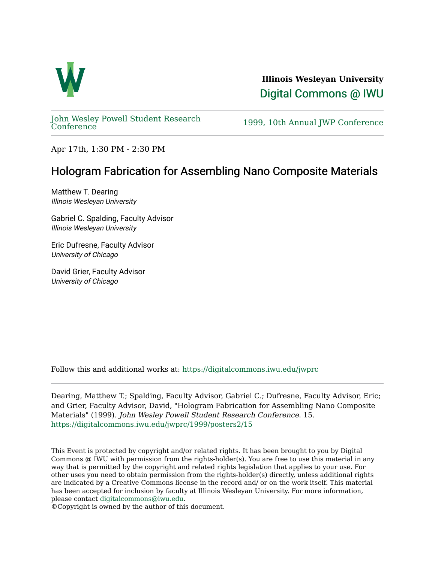

**Illinois Wesleyan University**  [Digital Commons @ IWU](https://digitalcommons.iwu.edu/) 

[John Wesley Powell Student Research](https://digitalcommons.iwu.edu/jwprc) 

1999, 10th Annual JWP [Conference](https://digitalcommons.iwu.edu/jwprc)

Apr 17th, 1:30 PM - 2:30 PM

## Hologram Fabrication for Assembling Nano Composite Materials

Matthew T. Dearing Illinois Wesleyan University

Gabriel C. Spalding, Faculty Advisor Illinois Wesleyan University

Eric Dufresne, Faculty Advisor University of Chicago

David Grier, Faculty Advisor University of Chicago

Follow this and additional works at: [https://digitalcommons.iwu.edu/jwprc](https://digitalcommons.iwu.edu/jwprc?utm_source=digitalcommons.iwu.edu%2Fjwprc%2F1999%2Fposters2%2F15&utm_medium=PDF&utm_campaign=PDFCoverPages) 

Dearing, Matthew T.; Spalding, Faculty Advisor, Gabriel C.; Dufresne, Faculty Advisor, Eric; and Grier, Faculty Advisor, David, "Hologram Fabrication for Assembling Nano Composite Materials" (1999). John Wesley Powell Student Research Conference. 15. [https://digitalcommons.iwu.edu/jwprc/1999/posters2/15](https://digitalcommons.iwu.edu/jwprc/1999/posters2/15?utm_source=digitalcommons.iwu.edu%2Fjwprc%2F1999%2Fposters2%2F15&utm_medium=PDF&utm_campaign=PDFCoverPages) 

This Event is protected by copyright and/or related rights. It has been brought to you by Digital Commons @ IWU with permission from the rights-holder(s). You are free to use this material in any way that is permitted by the copyright and related rights legislation that applies to your use. For other uses you need to obtain permission from the rights-holder(s) directly, unless additional rights are indicated by a Creative Commons license in the record and/ or on the work itself. This material has been accepted for inclusion by faculty at Illinois Wesleyan University. For more information, please contact [digitalcommons@iwu.edu.](mailto:digitalcommons@iwu.edu)

©Copyright is owned by the author of this document.